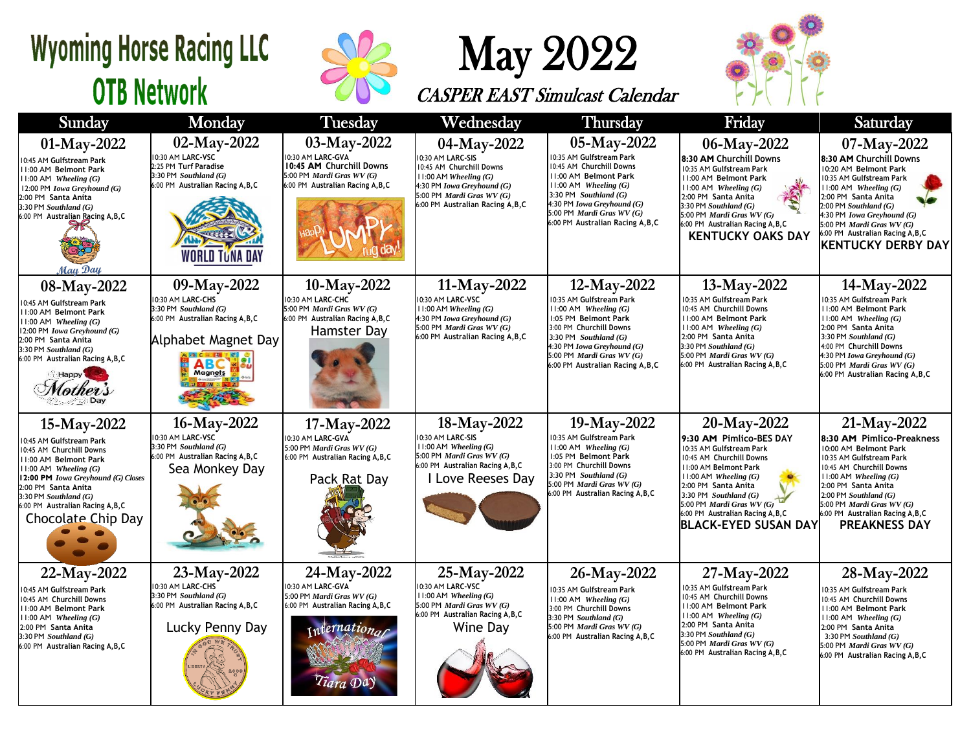## **Wyoming Horse Racing LLC OTB Network**



## May 2022

CASPER EAST Simulcast Calendar



| Sunday                                                                                                                                                                                                                                                                                | Monday                                                                                                                                        | <b>Tuesday</b>                                                                                                                  | Wednesday                                                                                                                                                                              | <b>Thursday</b>                                                                                                                                                                                                                                      | Friday                                                                                                                                                                                                                                                                                                | Saturday                                                                                                                                                                                                                                                                                                  |
|---------------------------------------------------------------------------------------------------------------------------------------------------------------------------------------------------------------------------------------------------------------------------------------|-----------------------------------------------------------------------------------------------------------------------------------------------|---------------------------------------------------------------------------------------------------------------------------------|----------------------------------------------------------------------------------------------------------------------------------------------------------------------------------------|------------------------------------------------------------------------------------------------------------------------------------------------------------------------------------------------------------------------------------------------------|-------------------------------------------------------------------------------------------------------------------------------------------------------------------------------------------------------------------------------------------------------------------------------------------------------|-----------------------------------------------------------------------------------------------------------------------------------------------------------------------------------------------------------------------------------------------------------------------------------------------------------|
| 01-May-2022<br>10:45 AM Gulfstream Park<br>11:00 AM Belmont Park<br>$11:00$ AM Wheeling $(G)$<br>12:00 PM Iowa Greyhound (G)<br>2:00 PM Santa Anita<br>$3:30$ PM Southland $(G)$<br>6:00 PM Australian Racing A, B, C<br>May Day                                                      | 02-May-2022<br>10:30 AM LARC-VSC<br>2:25 PM Turf Paradise<br>$3:30$ PM Southland $(G)$<br>6:00 PM Australian Racing A, B, C<br>WORLD TUNA DAY | 03-May-2022<br>10:30 AM LARC-GVA<br>10:45 AM Churchill Downs<br>5:00 PM Mardi Gras WV (G)<br>6:00 PM Australian Racing A, B, C  | 04-May-2022<br>0:30 AM LARC-SIS<br>10:45 AM Churchill Downs<br>$11:00$ AM Wheeling $(G)$<br>4:30 PM Iowa Greyhound (G)<br>5:00 PM Mardi Gras WV (G)<br>6:00 PM Australian Racing A,B,C | 05-May-2022<br>10:35 AM Gulfstream Park<br>10:45 AM Churchill Downs<br>1:00 AM Belmont Park<br>$11:00$ AM Wheeling $(G)$<br>3:30 PM Southland $(G)$<br>4:30 PM Iowa Greyhound (G)<br>5:00 PM Mardi Gras $WV(G)$<br>6:00 PM Australian Racing A, B, C | 06-May-2022<br>8:30 AM Churchill Downs<br>10:35 AM Gulfstream Park<br>11:00 AM Belmont Park<br>$11:00$ AM Wheeling $(G)$<br>2:00 PM Santa Anita<br>$3:30$ PM Southland $(G)$<br>5:00 PM Mardi Gras WV (G)<br>6:00 PM Australian Racing A, B, C<br><b>KENTUCKY OAKS DAY</b>                            | 07-May-2022<br>8:30 AM Churchill Downs<br>10:20 AM Belmont Park<br>10:35 AM Gulfstream Park<br>$11:00$ AM Wheeling $(G)$<br>2:00 PM Santa Anita<br>$2:00$ PM Southland $(G)$<br>4:30 PM Iowa Greyhound (G)<br>5:00 PM Mardi Gras WV (G)<br>6:00 PM Australian Racing A, B, C<br><b>KENTUCKY DERBY DAY</b> |
| 08-May-2022<br>10:45 AM Gulfstream Park<br>11:00 AM Belmont Park<br>$11:00$ AM Wheeling $(G)$<br>12:00 PM Iowa Greyhound (G)<br>2:00 PM Santa Anita<br>$3:30$ PM Southland (G)<br>6:00 PM Australian Racing A, B, C<br>Happy <sup>1</sup>                                             | 09-May-2022<br>10:30 AM LARC-CHS<br>3:30 PM Southland (G)<br>6:00 PM Australian Racing A, B, C<br>Alphabet Magnet Day<br><b>ABC</b>           | 10-May-2022<br>10:30 AM LARC-CHC<br>5:00 PM Mardi Gras WV (G)<br>6:00 PM Australian Racing A, B, C<br><b>Hamster Day</b>        | 11-May-2022<br>10:30 AM LARC-VSC<br>11:00 AM Wheeling (G)<br>4:30 PM Iowa Greyhound (G)<br>5:00 PM Mardi Gras WV (G)<br>6:00 PM Australian Racing A, B, C                              | 12-May-2022<br>10:35 AM Gulfstream Park<br>$1:00$ AM Wheeling $(G)$<br>1:05 PM Belmont Park<br>3:00 PM Churchill Downs<br>3:30 PM Southland $(G)$<br>4:30 PM Iowa Greyhound (G)<br>5:00 PM Mardi Gras WV (G)<br>6:00 PM Australian Racing A, B, C    | 13-May-2022<br>0:35 AM Gulfstream Park<br>10:45 AM Churchill Downs<br>11:00 AM Belmont Park<br>$11:00$ AM Wheeling $(G)$<br>2:00 PM Santa Anita<br>3:30 PM Southland $(G)$<br>5:00 PM Mardi Gras WV (G)<br>6:00 PM Australian Racing A, B, C                                                          | 14-May-2022<br>10:35 AM Gulfstream Park<br>11:00 AM Belmont Park<br>$11:00$ AM Wheeling $(G)$<br>2:00 PM Santa Anita<br>3:30 PM Southland (G)<br>4:00 PM Churchill Downs<br>4:30 PM Iowa Greyhound (G)<br>5:00 PM Mardi Gras $WV(G)$<br>6:00 PM Australian Racing A, B, C                                 |
| 15-May-2022<br>10:45 AM Gulfstream Park<br>10:45 AM Churchill Downs<br>11:00 AM Belmont Park<br>$11:00$ AM <i>Wheeling</i> $(G)$<br>12:00 PM Iowa Greyhound (G) Closes<br>2:00 PM Santa Anita<br>$3:30$ PM Southland $(G)$<br>6:00 PM Australian Racing A, B, C<br>Chocolate Chip Day | 16-May-2022<br>10:30 AM LARC-VSC<br>3:30 PM Southland (G)<br>6:00 PM Australian Racing A, B, C<br>Sea Monkey Day                              | 17-May-2022<br>10:30 AM LARC-GVA<br>5:00 PM Mardi Gras WV (G)<br>6:00 PM Australian Racing A, B, C<br>Pack Rat Day              | 18-May-2022<br>10:30 AM LARC-SIS<br>$11:00$ AM Wheeling $(G)$<br>5:00 PM Mardi Gras WV (G)<br>6:00 PM Australian Racing A, B, C<br><b>I Love Reeses Day</b>                            | 19-May-2022<br>10:35 AM Gulfstream Park<br>11:00 AM Wheeling (G)<br>1:05 PM Belmont Park<br>3:00 PM Churchill Downs<br>3:30 PM Southland $(G)$<br>5:00 PM <i>Mardi Gras WV</i> $(G)$<br>6:00 PM Australian Racing A, B, C                            | 20-May-2022<br>9:30 AM Pimlico-BES DAY<br>10:35 AM Gulfstream Park<br>10:45 AM Churchill Downs<br>11:00 AM Belmont Park<br>$11:00$ AM Wheeling $(G)$<br>2:00 PM Santa Anita<br>3:30 PM Southland (G)<br>5:00 PM Mardi Gras WV (G)<br>6:00 PM Australian Racing A, B, C<br><b>BLACK-EYED SUSAN DAY</b> | 21-May-2022<br>8:30 AM Pimlico-Preakness<br>10:00 AM Belmont Park<br>10:35 AM Gulfstream Park<br>10:45 AM Churchill Downs<br>11:00 AM Wheeling $(G)$<br>2:00 PM Santa Anita<br>$2:00$ PM Southland $(G)$<br>5:00 PM Mardi Gras WV (G)<br>6:00 PM Australian Racing A, B, C<br><b>PREAKNESS DAY</b>        |
| $22-May-2022$<br>10:45 AM Gulfstream Park<br>10:45 AM Churchill Downs<br>11:00 AM Belmont Park<br>$11:00$ AM Wheeling $(G)$<br>2:00 PM Santa Anita<br>3:30 PM Southland (G)<br>6:00 PM Australian Racing A, B, C                                                                      | 23-May-2022<br>10:30 AM LARC-CHS<br>3:30 PM Southland (G)<br>6:00 PM Australian Racing A, B, C<br>Lucky Penny Day                             | 24-May-2022<br>0:30 AM LARC-GVA<br>5:00 PM Mardi Gras $WV(G)$<br>6:00 PM Australian Racing A, B, C<br>international<br>Tiara Da | 25-May-2022<br>10:30 AM LARC-VSC<br>$11:00$ AM Wheeling $(G)$<br>5:00 PM Mardi Gras WV (G)<br>6:00 PM Australian Racing A, B, C<br>Wine Day                                            | 26-May-2022<br>10:35 AM Gulfstream Park<br>$11:00$ AM Wheeling $(G)$<br>3:00 PM Churchill Downs<br>3:30 PM Southland (G)<br>5:00 PM Mardi Gras WV (G)<br>6:00 PM Australian Racing A, B, C                                                           | 27-May-2022<br>10:35 AM Gulfstream Park<br>10:45 AM Churchill Downs<br>11:00 AM Belmont Park<br>$11:00$ AM Wheeling $(G)$<br>2:00 PM Santa Anita<br>$3:30$ PM Southland $(G)$<br>5:00 PM Mardi Gras WV (G)<br>6:00 PM Australian Racing A, B, C                                                       | 28-May-2022<br>10:35 AM Gulfstream Park<br>10:45 AM Churchill Downs<br>11:00 AM Belmont Park<br>$11:00$ AM Wheeling $(G)$<br>2:00 PM Santa Anita<br>3:30 PM Southland $(G)$<br>5:00 PM Mardi Gras WV (G)<br>6:00 PM Australian Racing A, B, C                                                             |